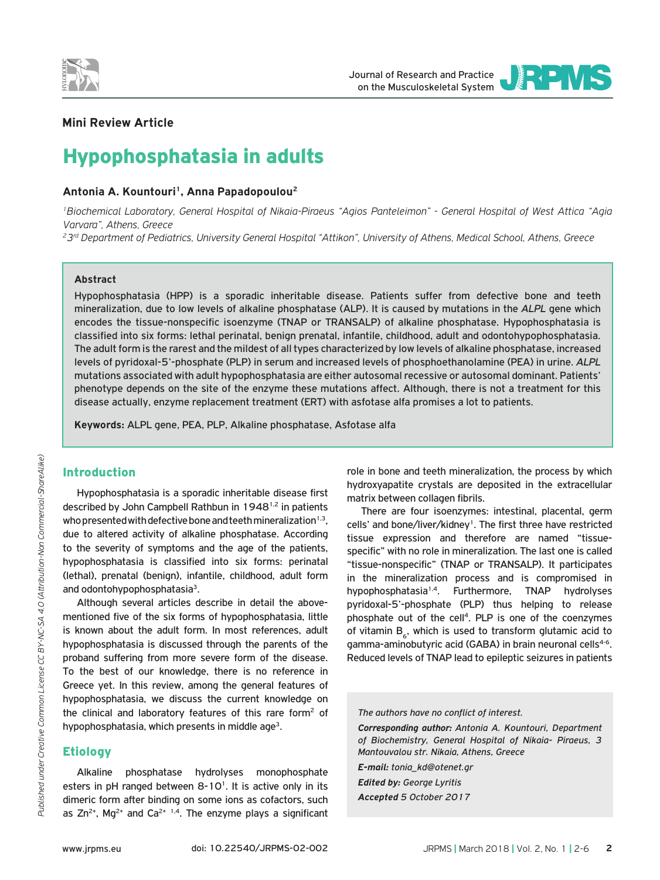

Journal of Research and Practice on the Musculoskeletal System



# **Mini Review Article**

# Hypophosphatasia in adults

#### Antonia A. Kountouri<sup>1</sup>, Anna Papadopoulou<sup>2</sup>

*1Biochemical Laboratory, General Hospital of Nikaia-Piraeus "Agios Panteleimon" - General Hospital of West Attica "Agia Varvara", Athens, Greece*

*23rd Department of Pediatrics, University General Hospital "Attikon", University of Athens, Medical School, Athens, Greece*

#### **Abstract**

Hypophosphatasia (HPP) is a sporadic inheritable disease. Patients suffer from defective bone and teeth mineralization, due to low levels of alkaline phosphatase (ALP). It is caused by mutations in the *ALPL* gene which encodes the tissue-nonspecific isoenzyme (TNAP or TRANSALP) of alkaline phosphatase. Hypophosphatasia is classified into six forms: lethal perinatal, benign prenatal, infantile, childhood, adult and odontohypophosphatasia. The adult form is the rarest and the mildest of all types characterized by low levels of alkaline phosphatase, increased levels of pyridoxal-5'-phosphate (PLP) in serum and increased levels of phosphoethanolamine (PEA) in urine. *ALPL* mutations associated with adult hypophosphatasia are either autosomal recessive or autosomal dominant. Patients' phenotype depends on the site of the enzyme these mutations affect. Although, there is not a treatment for this disease actually, enzyme replacement treatment (ERT) with asfotase alfa promises a lot to patients.

**Keywords:** ALPL gene, PEA, PLP, Alkaline phosphatase, Asfotase alfa

#### Introduction

Hypophosphatasia is a sporadic inheritable disease first described by John Campbell Rathbun in 19481,2 in patients who presented with defective bone and teeth mineralization $^{1,3}$ , due to altered activity of alkaline phosphatase. According to the severity of symptoms and the age of the patients, hypophosphatasia is classified into six forms: perinatal (lethal), prenatal (benign), infantile, childhood, adult form and odontohypophosphatasia<sup>3</sup>.

Although several articles describe in detail the abovementioned five of the six forms of hypophosphatasia, little is known about the adult form. In most references, adult hypophosphatasia is discussed through the parents of the proband suffering from more severe form of the disease. To the best of our knowledge, there is no reference in Greece yet. In this review, among the general features of hypophosphatasia, we discuss the current knowledge on the clinical and laboratory features of this rare form2 of hypophosphatasia, which presents in middle age<sup>3</sup>.

## **Etiology**

Alkaline phosphatase hydrolyses monophosphate esters in pH ranged between  $8-10^1$ . It is active only in its dimeric form after binding on some ions as cofactors, such as  $Zn^{2+}$ , Mg<sup>2+</sup> and  $Ca^{2+1,4}$ . The enzyme plays a significant

role in bone and teeth mineralization, the process by which hydroxyapatite crystals are deposited in the extracellular matrix between collagen fibrils.

There are four isoenzymes: intestinal, placental, germ cells' and bone/liver/kidney<sup>1</sup>. The first three have restricted tissue expression and therefore are named "tissuespecific" with no role in mineralization. The last one is called "tissue-nonspecific" (TNAP or TRANSALP). It participates in the mineralization process and is compromised in hypophosphatasia1,4. Furthermore, TNAP hydrolyses pyridoxal-5'-phosphate (PLP) thus helping to release phosphate out of the cell<sup>4</sup>. PLP is one of the coenzymes of vitamin  $B<sub>6</sub>$ , which is used to transform glutamic acid to gamma-aminobutyric acid (GABA) in brain neuronal cells<sup>4-6</sup>. Reduced levels of TNAP lead to epileptic seizures in patients

# *The authors have no conflict of interest.*

*Corresponding author: Antonia A. Kountouri, Department of Biochemistry, General Hospital of Nikaia- Piraeus, 3 Mantouvalou str. Nikaia, Athens, Greece*

*E-mail: tonia\_kd@otenet.gr Edited by: George Lyritis Accepted 5 October 2017*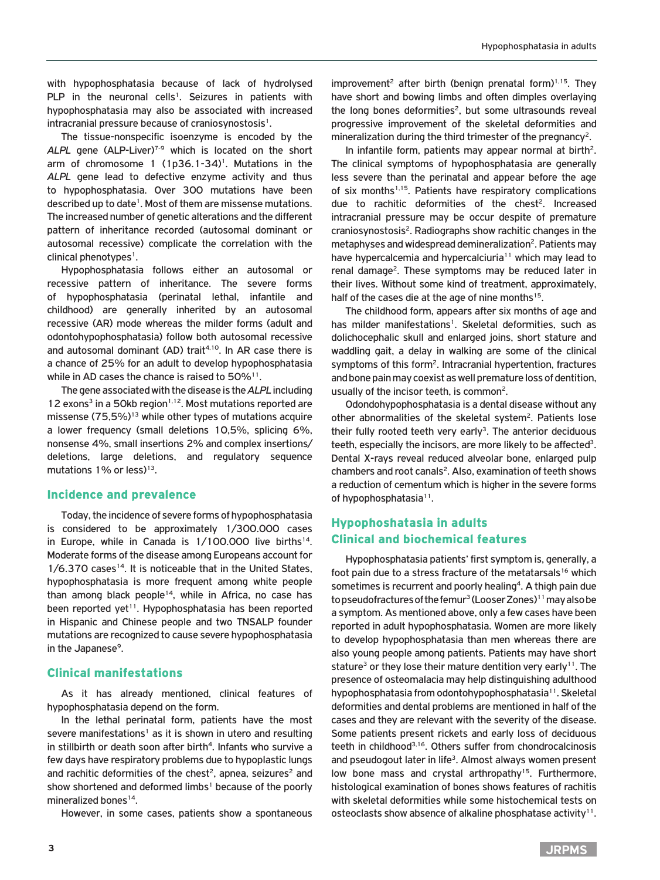with hypophosphatasia because of lack of hydrolysed PLP in the neuronal cells<sup>1</sup>. Seizures in patients with hypophosphatasia may also be associated with increased intracranial pressure because of craniosynostosis<sup>1</sup>.

The tissue-nonspecific isoenzyme is encoded by the ALPL gene (ALP-Liver)<sup>7-9</sup> which is located on the short arm of chromosome 1  $(1p36.1-34)^1$ . Mutations in the *ALPL* gene lead to defective enzyme activity and thus to hypophosphatasia. Over 300 mutations have been described up to date<sup>1</sup>. Most of them are missense mutations. The increased number of genetic alterations and the different pattern of inheritance recorded (autosomal dominant or autosomal recessive) complicate the correlation with the clinical phenotypes<sup>1</sup>.

Hypophosphatasia follows either an autosomal or recessive pattern of inheritance. The severe forms of hypophosphatasia (perinatal lethal, infantile and childhood) are generally inherited by an autosomal recessive (AR) mode whereas the milder forms (adult and odontohypophosphatasia) follow both autosomal recessive and autosomal dominant (AD) trait<sup>4,10</sup>. In AR case there is a chance of 25% for an adult to develop hypophosphatasia while in AD cases the chance is raised to 50%<sup>11</sup>.

The gene associated with the disease is the *ALPL* including 12 exons<sup>3</sup> in a 50kb region<sup>1,12</sup>. Most mutations reported are missense  $(75.5\%)$ <sup>13</sup> while other types of mutations acquire a lower frequency (small deletions 10,5%, splicing 6%, nonsense 4%, small insertions 2% and complex insertions/ deletions, large deletions, and regulatory sequence mutations  $1\%$  or less)<sup>13</sup>.

#### Incidence and prevalence

Today, the incidence of severe forms of hypophosphatasia is considered to be approximately 1/300.000 cases in Europe, while in Canada is  $1/100.000$  live births<sup>14</sup>. Moderate forms of the disease among Europeans account for 1/6.370 cases<sup>14</sup>. It is noticeable that in the United States, hypophosphatasia is more frequent among white people than among black people<sup>14</sup>, while in Africa, no case has been reported yet<sup>11</sup>. Hypophosphatasia has been reported in Hispanic and Chinese people and two TNSALP founder mutations are recognized to cause severe hypophosphatasia in the Japanese<sup>9</sup>.

## Clinical manifestations

As it has already mentioned, clinical features of hypophosphatasia depend on the form.

In the lethal perinatal form, patients have the most severe manifestations<sup>1</sup> as it is shown in utero and resulting in stillbirth or death soon after birth<sup>4</sup>. Infants who survive a few days have respiratory problems due to hypoplastic lungs and rachitic deformities of the chest<sup>2</sup>, apnea, seizures<sup>2</sup> and show shortened and deformed limbs<sup>1</sup> because of the poorly mineralized bones<sup>14</sup>.

However, in some cases, patients show a spontaneous

improvement<sup>2</sup> after birth (benign prenatal form)<sup>1,15</sup>. They have short and bowing limbs and often dimples overlaying the long bones deformities<sup>2</sup>, but some ultrasounds reveal progressive improvement of the skeletal deformities and mineralization during the third trimester of the pregnancy<sup>2</sup>.

In infantile form, patients may appear normal at birth<sup>2</sup>. The clinical symptoms of hypophosphatasia are generally less severe than the perinatal and appear before the age of six months<sup>1,15</sup>. Patients have respiratory complications due to rachitic deformities of the chest<sup>2</sup>. Increased intracranial pressure may be occur despite of premature craniosynostosis<sup>2</sup>. Radiographs show rachitic changes in the metaphyses and widespread demineralization<sup>2</sup>. Patients may have hypercalcemia and hypercalciuria<sup>11</sup> which may lead to renal damage<sup>2</sup>. These symptoms may be reduced later in their lives. Without some kind of treatment, approximately, half of the cases die at the age of nine months<sup>15</sup>.

The childhood form, appears after six months of age and has milder manifestations<sup>1</sup>. Skeletal deformities, such as dolichocephalic skull and enlarged joins, short stature and waddling gait, a delay in walking are some of the clinical symptoms of this form<sup>2</sup>. Intracranial hypertention, fractures and bone pain may coexist as well premature loss of dentition, usually of the incisor teeth, is common<sup>2</sup>.

Odondohypophosphatasia is a dental disease without any other abnormalities of the skeletal system<sup>2</sup>. Patients lose their fully rooted teeth very early<sup>3</sup>. The anterior deciduous teeth, especially the incisors, are more likely to be affected<sup>3</sup>. Dental X-rays reveal reduced alveolar bone, enlarged pulp chambers and root canals<sup>2</sup>. Also, examination of teeth shows a reduction of cementum which is higher in the severe forms of hypophosphatasia<sup>11</sup>.

# Hypophoshatasia in adults Clinical and biochemical features

Hypophosphatasia patients' first symptom is, generally, a foot pain due to a stress fracture of the metatarsals<sup>16</sup> which sometimes is recurrent and poorly healing<sup>4</sup>. A thigh pain due to pseudofractures of the femur<sup>3</sup> (Looser Zones)<sup>11</sup> may also be a symptom. As mentioned above, only a few cases have been reported in adult hypophosphatasia. Women are more likely to develop hypophosphatasia than men whereas there are also young people among patients. Patients may have short stature<sup>3</sup> or they lose their mature dentition very early<sup>11</sup>. The presence of osteomalacia may help distinguishing adulthood hypophosphatasia from odontohypophosphatasia<sup>11</sup>. Skeletal deformities and dental problems are mentioned in half of the cases and they are relevant with the severity of the disease. Some patients present rickets and early loss of deciduous teeth in childhood<sup>3,16</sup>. Others suffer from chondrocalcinosis and pseudogout later in life<sup>3</sup>. Almost always women present low bone mass and crystal arthropathy<sup>15</sup>. Furthermore, histological examination of bones shows features of rachitis with skeletal deformities while some histochemical tests on osteoclasts show absence of alkaline phosphatase activity<sup>11</sup>.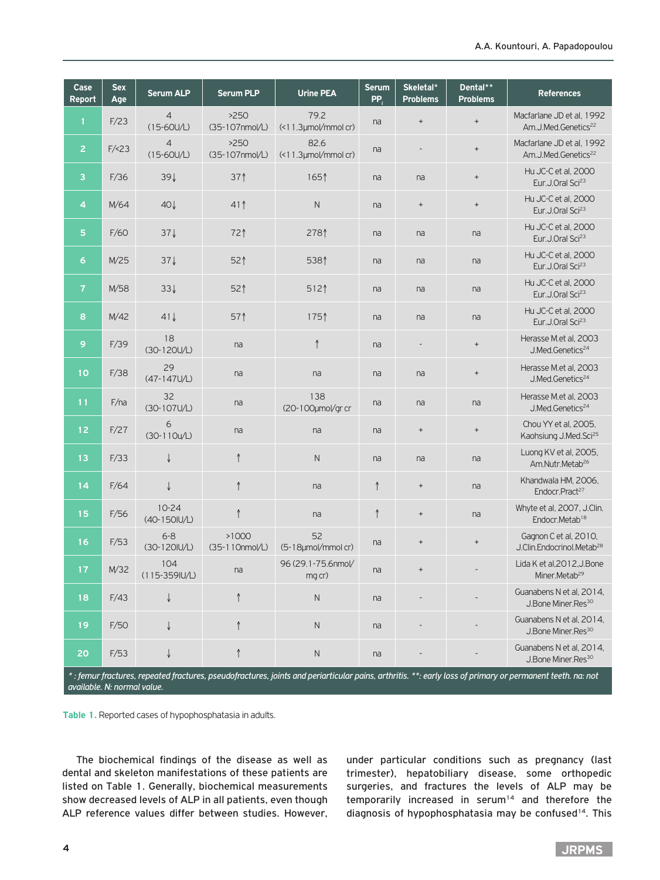| Case<br><b>Report</b> | <b>Sex</b><br>Age | <b>Serum ALP</b>          | <b>Serum PLP</b>        | <b>Urine PEA</b>                   | <b>Serum</b><br>PP. | Skeletal*<br><b>Problems</b>     | Dental**<br><b>Problems</b>      | <b>References</b>                                              |
|-----------------------|-------------------|---------------------------|-------------------------|------------------------------------|---------------------|----------------------------------|----------------------------------|----------------------------------------------------------------|
| 1                     | F/23              | 4<br>$(15 - 60U/L)$       | >250<br>(35-107nmol/L)  | 79.2<br>$($ <11.3 $µ$ mol/mmol cr) | na                  | $^+$                             | $^+$                             | Macfarlane JD et al, 1992<br>Am.J.Med.Genetics <sup>22</sup>   |
| $\overline{2}$        | F / 23            | 4<br>$(15 - 60U/L)$       | >250<br>(35-107nmol/L)  | 82.6<br>(<11.3µmol/mmol cr)        | na                  |                                  | $\qquad \qquad +$                | Macfarlane JD et al, 1992<br>Am.J.Med.Genetics <sup>22</sup>   |
| 3                     | F/36              | $39\downarrow$            | 37 <sup>1</sup>         | 1651                               | na                  | na                               | $\qquad \qquad +$                | Hu JC-C et al, 2000<br>Eur.J.Oral Sci <sup>23</sup>            |
| 4                     | M/64              | $40\sqrt{ }$              | $41$ $\uparrow$         | $\mathsf{N}$                       | na                  | $\qquad \qquad +$                | $\begin{array}{c} + \end{array}$ | Hu JC-C et al, 2000<br>Eur.J.Oral Sci <sup>23</sup>            |
| 5                     | F/60              | $37\sqrt{ }$              | 721                     | 2781                               | na                  | na                               | na                               | Hu JC-C et al, 2000<br>Eur.J.Oral Sci <sup>23</sup>            |
| 6                     | M/25              | $37\sqrt{ }$              | 52 <sup>1</sup>         | 5381                               | na                  | na                               | na                               | Hu JC-C et al, 2000<br>Eur.J.Oral Sci <sup>23</sup>            |
| 7                     | M/58              | $33\sqrt{ }$              | 52 <sup>1</sup>         | 512                                | na                  | na                               | na                               | Hu JC-C et al, 2000<br>Eur.J.Oral Sci <sup>23</sup>            |
| 8                     | M/42              | $41\sqrt{ }$              | 57                      | 1751                               | na                  | na                               | na                               | Hu JC-C et al, 2000<br>Eur.J.Oral Sci <sup>23</sup>            |
| 9                     | F/39              | 18<br>$(30-120U/L)$       | na                      | $\uparrow$                         | na                  | $\overline{\phantom{a}}$         | $^+$                             | Herasse M.et al, 2003<br>J.Med.Genetics <sup>24</sup>          |
| 10                    | F/38              | 29<br>(47-147U/L)         | na                      | na                                 | na                  | na                               | $\qquad \qquad +$                | Herasse M.et al. 2003<br>J.Med.Genetics <sup>24</sup>          |
| 11                    | F/na              | 32<br>(30-107U/L)         | na                      | 138<br>(20-100µmol/gr cr           | na                  | na                               | na                               | Herasse M.et al, 2003<br>J.Med.Genetics <sup>24</sup>          |
| 12                    | F/27              | 6<br>$(30-110u/L)$        | na                      | na                                 | na                  | $^+$                             | $^+$                             | Chou YY et al, 2005,<br>Kaohsiung J.Med.Sci <sup>25</sup>      |
| 13                    | F/33              | ↓                         | $\uparrow$              | $\mathsf{N}$                       | na                  | na                               | na                               | Luong KV et al, 2005,<br>Am.Nutr.Metab <sup>26</sup>           |
| 14                    | F/64              | $\downarrow$              | $\uparrow$              | na                                 | $\uparrow$          | $\qquad \qquad +$                | na                               | Khandwala HM, 2006,<br>Endocr.Pract <sup>27</sup>              |
| 15                    | F/56              | $10 - 24$<br>(40-150IU/L) | $\uparrow$              | na                                 | $\uparrow$          | $\begin{array}{c} + \end{array}$ | na                               | Whyte et al, 2007, J.Clin.<br>Endocr.Metab <sup>18</sup>       |
| 16                    | F/53              | $6 - 8$<br>(30-120IU/L)   | >1000<br>(35-110nmol/L) | 52<br>(5-18µmol/mmol cr)           | na                  | $^+$                             | $\begin{array}{c} + \end{array}$ | Gagnon C et al, 2010,<br>J.Clin.Endocrinol.Metab <sup>28</sup> |
| 17.                   | M/32              | 104<br>$(115-359I U/L)$   | na                      | 96 (29.1-75.6nmol/<br>mg cr)       | na                  | $^{+}$                           |                                  | Lida K et al, 2012, J. Bone<br>Miner.Metab <sup>29</sup>       |
| 18                    | F/43              | ↓                         | $\uparrow$              | ${\sf N}$                          | na                  |                                  |                                  | Guanabens N et al, 2014,<br>J.Bone Miner.Res <sup>30</sup>     |
| 19                    | F/50              | ↓                         |                         | $\mathsf N$                        | na                  |                                  |                                  | Guanabens N et al, 2014,<br>J.Bone Miner.Res <sup>30</sup>     |
| 20                    | F/53              |                           | ↑                       | $\mathsf N$                        | na                  |                                  |                                  | Guanabens N et al, 2014,<br>J.Bone Miner.Res <sup>30</sup>     |

*\* : femur fractures, repeated fractures, pseudofractures, joints and periarticular pains, arthritis. \*\*: early loss of primary or permanent teeth. na: not available. N: normal value.*

**Table 1.** Reported cases of hypophosphatasia in adults.

The biochemical findings of the disease as well as dental and skeleton manifestations of these patients are listed on Table 1. Generally, biochemical measurements show decreased levels of ALP in all patients, even though ALP reference values differ between studies. However, under particular conditions such as pregnancy (last trimester), hepatobiliary disease, some orthopedic surgeries, and fractures the levels of ALP may be temporarily increased in serum<sup>14</sup> and therefore the diagnosis of hypophosphatasia may be confused<sup>14</sup>. This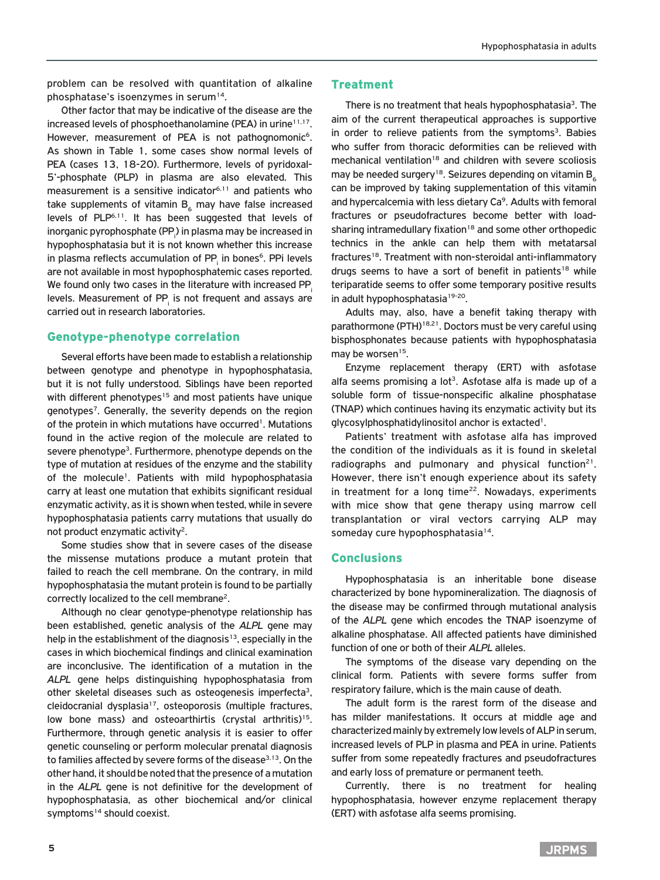problem can be resolved with quantitation of alkaline phosphatase's isoenzymes in serum $14$ .

Other factor that may be indicative of the disease are the increased levels of phosphoethanolamine (PEA) in urine $11,17$ . However, measurement of PEA is not pathognomonic<sup>6</sup>. As shown in Table 1, some cases show normal levels of PEA (cases 13, 18-20). Furthermore, levels of pyridoxal-5'-phosphate (PLP) in plasma are also elevated. This measurement is a sensitive indicator $6,11$  and patients who take supplements of vitamin  $B_6$  may have false increased levels of PLP6,11. It has been suggested that levels of inorganic pyrophosphate (PP<sub>i</sub>) in plasma may be increased in hypophosphatasia but it is not known whether this increase in plasma reflects accumulation of PP $_{\sf i}$  in bones $^{\sf 6}$ . PPi levels are not available in most hypophosphatemic cases reported. We found only two cases in the literature with increased PP. levels. Measurement of PP $_{\sf i}$  is not frequent and assays are carried out in research laboratories.

## Genotype-phenotype correlation

Several efforts have been made to establish a relationship between genotype and phenotype in hypophosphatasia, but it is not fully understood. Siblings have been reported with different phenotypes<sup>15</sup> and most patients have unique genotypes<sup>7</sup>. Generally, the severity depends on the region of the protein in which mutations have occurred<sup>1</sup>. Mutations found in the active region of the molecule are related to severe phenotype<sup>3</sup>. Furthermore, phenotype depends on the type of mutation at residues of the enzyme and the stability of the molecule1. Patients with mild hypophosphatasia carry at least one mutation that exhibits significant residual enzymatic activity, as it is shown when tested, while in severe hypophosphatasia patients carry mutations that usually do not product enzymatic activity2.

Some studies show that in severe cases of the disease the missense mutations produce a mutant protein that failed to reach the cell membrane. On the contrary, in mild hypophosphatasia the mutant protein is found to be partially correctly localized to the cell membrane2.

Although no clear genotype-phenotype relationship has been established, genetic analysis of the *ALPL* gene may help in the establishment of the diagnosis<sup>13</sup>, especially in the cases in which biochemical findings and clinical examination are inconclusive. The identification of a mutation in the *ALPL* gene helps distinguishing hypophosphatasia from other skeletal diseases such as osteogenesis imperfecta<sup>3</sup>, cleidocranial dysplasia<sup>17</sup>, osteoporosis (multiple fractures, low bone mass) and osteoarthirtis (crystal arthritis)<sup>15</sup>. Furthermore, through genetic analysis it is easier to offer genetic counseling or perform molecular prenatal diagnosis to families affected by severe forms of the disease<sup>3,13</sup>. On the other hand, it should be noted that the presence of a mutation in the *ALPL* gene is not definitive for the development of hypophosphatasia, as other biochemical and/or clinical symptoms<sup>14</sup> should coexist.

# **Treatment**

There is no treatment that heals hypophosphatasia<sup>3</sup>. The aim of the current therapeutical approaches is supportive in order to relieve patients from the symptoms $3$ . Babies who suffer from thoracic deformities can be relieved with mechanical ventilation<sup>18</sup> and children with severe scoliosis may be needed surgery<sup>18</sup>. Seizures depending on vitamin  $B_6$ can be improved by taking supplementation of this vitamin and hypercalcemia with less dietary Ca<sup>9</sup>. Adults with femoral fractures or pseudofractures become better with loadsharing intramedullary fixation<sup>18</sup> and some other orthopedic technics in the ankle can help them with metatarsal fractures<sup>18</sup>. Treatment with non-steroidal anti-inflammatory drugs seems to have a sort of benefit in patients<sup>18</sup> while teriparatide seems to offer some temporary positive results in adult hypophosphatasia<sup>19-20</sup>.

Adults may, also, have a benefit taking therapy with parathormone (PTH)<sup>18,21</sup>. Doctors must be very careful using bisphosphonates because patients with hypophosphatasia may be worsen<sup>15</sup>.

Enzyme replacement therapy (ERT) with asfotase alfa seems promising a lot<sup>3</sup>. Asfotase alfa is made up of a soluble form of tissue-nonspecific alkaline phosphatase (TNAP) which continues having its enzymatic activity but its glycosylphosphatidylinositol anchor is extacted<sup>1</sup>.

Patients' treatment with asfotase alfa has improved the condition of the individuals as it is found in skeletal radiographs and pulmonary and physical function $21$ . However, there isn't enough experience about its safety in treatment for a long time $22$ . Nowadays, experiments with mice show that gene therapy using marrow cell transplantation or viral vectors carrying ALP may someday cure hypophosphatasia<sup>14</sup>.

### **Conclusions**

Hypophosphatasia is an inheritable bone disease characterized by bone hypomineralization. The diagnosis of the disease may be confirmed through mutational analysis of the *ALPL* gene which encodes the TNAP isoenzyme of alkaline phosphatase. All affected patients have diminished function of one or both of their *ALPL* alleles.

The symptoms of the disease vary depending on the clinical form. Patients with severe forms suffer from respiratory failure, which is the main cause of death.

The adult form is the rarest form of the disease and has milder manifestations. It occurs at middle age and characterized mainly by extremely low levels of ALP in serum, increased levels of PLP in plasma and PEA in urine. Patients suffer from some repeatedly fractures and pseudofractures and early loss of premature or permanent teeth.

Currently, there is no treatment for healing hypophosphatasia, however enzyme replacement therapy (ERT) with asfotase alfa seems promising.